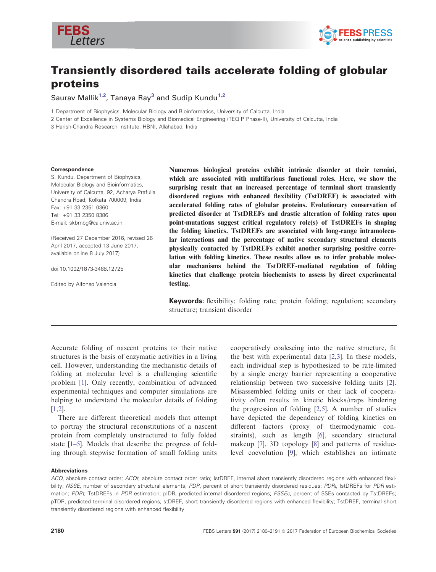



# Transiently disordered tails accelerate folding of globular proteins

Saurav Mallik<sup>1,2</sup>, Tanaya Ray<sup>3</sup> and Sudip Kundu<sup>1,2</sup>

1 Department of Biophysics, Molecular Biology and Bioinformatics, University of Calcutta, India

2 Center of Excellence in Systems Biology and Biomedical Engineering (TEQIP Phase-II), University of Calcutta, India

3 Harish-Chandra Research Institute, HBNI, Allahabad, India

#### Correspondence

S. Kundu, Department of Biophysics, Molecular Biology and Bioinformatics, University of Calcutta, 92, Acharya Prafulla Chandra Road, Kolkata 700009, India Fax: +91 33 2351 0360 Tel: +91 33 2350 8386 E-mail: skbmbg@caluniv.ac.in

(Received 27 December 2016, revised 26 April 2017, accepted 13 June 2017, available online 8 July 2017)

doi:10.1002/1873-3468.12725

Edited by Alfonso Valencia

Numerous biological proteins exhibit intrinsic disorder at their termini, which are associated with multifarious functional roles. Here, we show the surprising result that an increased percentage of terminal short transiently disordered regions with enhanced flexibility (TstDREF) is associated with accelerated folding rates of globular proteins. Evolutionary conservation of predicted disorder at TstDREFs and drastic alteration of folding rates upon point-mutations suggest critical regulatory role(s) of TstDREFs in shaping the folding kinetics. TstDREFs are associated with long-range intramolecular interactions and the percentage of native secondary structural elements physically contacted by TstDREFs exhibit another surprising positive correlation with folding kinetics. These results allow us to infer probable molecular mechanisms behind the TstDREF-mediated regulation of folding kinetics that challenge protein biochemists to assess by direct experimental testing.

Keywords: flexibility; folding rate; protein folding; regulation; secondary structure; transient disorder

Accurate folding of nascent proteins to their native structures is the basis of enzymatic activities in a living cell. However, understanding the mechanistic details of folding at molecular level is a challenging scientific problem [[1\]](#page-10-0). Only recently, combination of advanced experimental techniques and computer simulations are helping to understand the molecular details of folding [\[1,2](#page-10-0)].

There are different theoretical models that attempt to portray the structural reconstitutions of a nascent protein from completely unstructured to fully folded state [\[1](#page-10-0)–5]. Models that describe the progress of folding through stepwise formation of small folding units

cooperatively coalescing into the native structure, fit the best with experimental data [[2,3\]](#page-10-0). In these models, each individual step is hypothesized to be rate-limited by a single energy barrier representing a cooperative relationship between two successive folding units [[2](#page-10-0)]. Misassembled folding units or their lack of cooperativity often results in kinetic blocks/traps hindering the progression of folding [[2,5\]](#page-10-0). A number of studies have depicted the dependency of folding kinetics on different factors (proxy of thermodynamic constraints), such as length [\[6\]](#page-10-0), secondary structural makeup [\[7\]](#page-10-0), 3D topology [\[8](#page-10-0)] and patterns of residuelevel coevolution [[9\]](#page-10-0), which establishes an intimate

#### Abbreviations

ACO, absolute contact order; ACOr, absolute contact order ratio; IstDREF, internal short transiently disordered regions with enhanced flexibility; NSSE, number of secondary structural elements; PDR, percent of short transiently disordered residues; PDRi, IstDREFs for PDR estimation; PDRt, TstDREFs in PDR estimation; pIDR, predicted internal disordered regions; PSSEc, percent of SSEs contacted by TstDREFs; pTDR, predicted terminal disordered regions; stDREF, short transiently disordered regions with enhanced flexibility; TstDREF, terminal short transiently disordered regions with enhanced flexibility.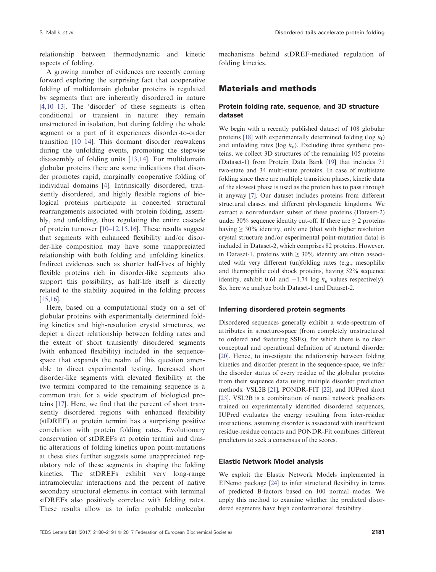relationship between thermodynamic and kinetic aspects of folding.

A growing number of evidences are recently coming forward exploring the surprising fact that cooperative folding of multidomain globular proteins is regulated by segments that are inherently disordered in nature [\[4,10](#page-10-0)–13]. The 'disorder' of these segments is often conditional or transient in nature: they remain unstructured in isolation, but during folding the whole segment or a part of it experiences disorder-to-order transition [\[10](#page-10-0)–[14\]](#page-10-0). This dormant disorder reawakens during the unfolding events, promoting the stepwise disassembly of folding units [\[13,14\]](#page-10-0). For multidomain globular proteins there are some indications that disorder promotes rapid, marginally cooperative folding of individual domains [[4](#page-10-0)]. Intrinsically disordered, transiently disordered, and highly flexible regions of biological proteins participate in concerted structural rearrangements associated with protein folding, assembly, and unfolding, thus regulating the entire cascade of protein turnover [[10](#page-10-0)–[12,15,16\]](#page-10-0). These results suggest that segments with enhanced flexibility and/or disorder-like composition may have some unappreciated relationship with both folding and unfolding kinetics. Indirect evidences such as shorter half-lives of highly flexible proteins rich in disorder-like segments also support this possibility, as half-life itself is directly related to the stability acquired in the folding process [\[15,16\]](#page-10-0).

Here, based on a computational study on a set of globular proteins with experimentally determined folding kinetics and high-resolution crystal structures, we depict a direct relationship between folding rates and the extent of short transiently disordered segments (with enhanced flexibility) included in the sequencespace that expands the realm of this question amenable to direct experimental testing. Increased short disorder-like segments with elevated flexibility at the two termini compared to the remaining sequence is a common trait for a wide spectrum of biological proteins [[17](#page-10-0)]. Here, we find that the percent of short transiently disordered regions with enhanced flexibility (stDREF) at protein termini has a surprising positive correlation with protein folding rates. Evolutionary conservation of stDREFs at protein termini and drastic alterations of folding kinetics upon point-mutations at these sites further suggests some unappreciated regulatory role of these segments in shaping the folding kinetics. The stDREFs exhibit very long-range intramolecular interactions and the percent of native secondary structural elements in contact with terminal stDREFs also positively correlate with folding rates. These results allow us to infer probable molecular

mechanisms behind stDREF-mediated regulation of folding kinetics.

## Materials and methods

#### Protein folding rate, sequence, and 3D structure dataset

We begin with a recently published dataset of 108 globular proteins [\[18](#page-10-0)] with experimentally determined folding (log  $k_f$ ) and unfolding rates (log  $k_{\rm u}$ ). Excluding three synthetic proteins, we collect 3D structures of the remaining 105 proteins (Dataset-1) from Protein Data Bank [\[19\]](#page-10-0) that includes 71 two-state and 34 multi-state proteins. In case of multistate folding since there are multiple transition phases, kinetic data of the slowest phase is used as the protein has to pass through it anyway [[7](#page-10-0)]. Our dataset includes proteins from different structural classes and different phylogenetic kingdoms. We extract a nonredundant subset of these proteins (Dataset-2) under 30% sequence identity cut-off. If there are  $\geq 2$  proteins having  $\geq 30\%$  identity, only one (that with higher resolution crystal structure and/or experimental point-mutation data) is included in Dataset-2, which comprises 82 proteins. However, in Dataset-1, proteins with  $\geq 30\%$  identity are often associated with very different (un)folding rates (e.g., mesophilic and thermophilic cold shock proteins, having 52% sequence identity, exhibit 0.61 and  $-1.74$  log  $k<sub>u</sub>$  values respectively). So, here we analyze both Dataset-1 and Dataset-2.

#### Inferring disordered protein segments

Disordered sequences generally exhibit a wide-spectrum of attributes in structure-space (from completely unstructured to ordered and featuring SSEs), for which there is no clear conceptual and operational definition of structural disorder [\[20](#page-10-0)]. Hence, to investigate the relationship between folding kinetics and disorder present in the sequence-space, we infer the disorder status of every residue of the globular proteins from their sequence data using multiple disorder prediction methods: VSL2B [[21](#page-10-0)], PONDR-FIT [[22](#page-10-0)], and IUPred short [\[23](#page-10-0)]. VSL2B is a combination of neural network predictors trained on experimentally identified disordered sequences, IUPred evaluates the energy resulting from inter-residue interactions, assuming disorder is associated with insufficient residue-residue contacts and PONDR-Fit combines different predictors to seek a consensus of the scores.

#### Elastic Network Model analysis

We exploit the Elastic Network Models implemented in ElNemo package [[24\]](#page-11-0) to infer structural flexibility in terms of predicted B-factors based on 100 normal modes. We apply this method to examine whether the predicted disordered segments have high conformational flexibility.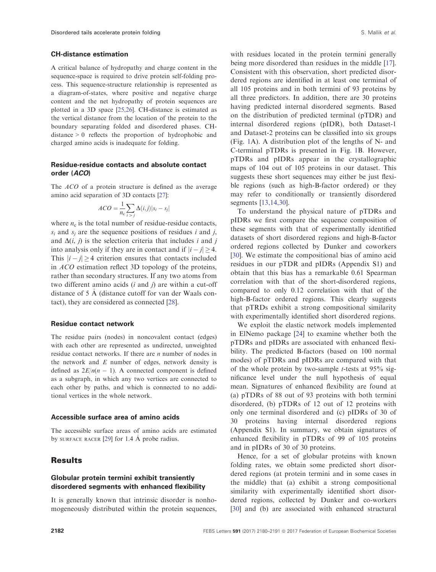#### CH-distance estimation

A critical balance of hydropathy and charge content in the sequence-space is required to drive protein self-folding process. This sequence-structure relationship is represented as a diagram-of-states, where positive and negative charge content and the net hydropathy of protein sequences are plotted in a 3D space [[25,26\]](#page-11-0). CH-distance is estimated as the vertical distance from the location of the protein to the boundary separating folded and disordered phases. CHdistance > 0 reflects the proportion of hydrophobic and charged amino acids is inadequate for folding.

#### Residue-residue contacts and absolute contact order (ACO)

The *ACO* of a protein structure is defined as the average amino acid separation of 3D contacts [\[27](#page-11-0)]:

$$
ACO = \frac{1}{n_c} \sum_{i > j} \Delta(i, j) |s_i - s_j|
$$

where  $n_c$  is the total number of residue-residue contacts,  $s_i$  and  $s_j$  are the sequence positions of residues i and j, and  $\Delta(i, j)$  is the selection criteria that includes i and j into analysis only if they are in contact and if  $|i - j| > 4$ . This  $|i - j| \ge 4$  criterion ensures that contacts included in ACO estimation reflect 3D topology of the proteins, rather than secondary structures. If any two atoms from two different amino acids  $(i$  and  $j)$  are within a cut-off distance of 5 A (distance cutoff for van der Waals con tact), they are considered as connected [[28](#page-11-0)].

#### Residue contact network

The residue pairs (nodes) in noncovalent contact (edges) with each other are represented as undirected, unweighted residue contact networks. If there are *n* number of nodes in the network and  $E$  number of edges, network density is defined as  $2E/n(n - 1)$ . A connected component is defined as a subgraph, in which any two vertices are connected to each other by paths, and which is connected to no additional vertices in the whole network.

#### Accessible surface area of amino acids

The accessible surface areas of amino acids are estimated by SURFACE RACER [[29\]](#page-11-0) for 1.4 A probe radius.

## Results

#### Globular protein termini exhibit transiently disordered segments with enhanced flexibility

It is generally known that intrinsic disorder is nonhomogeneously distributed within the protein sequences,

with residues located in the protein termini generally being more disordered than residues in the middle [[17](#page-10-0)]. Consistent with this observation, short predicted disordered regions are identified in at least one terminal of all 105 proteins and in both termini of 93 proteins by all three predictors. In addition, there are 30 proteins having predicted internal disordered segments. Based on the distribution of predicted terminal (pTDR) and internal disordered regions (pIDR), both Dataset-1 and Dataset-2 proteins can be classified into six groups (Fig. [1](#page-3-0)A). A distribution plot of the lengths of N- and C-terminal pTDRs is presented in Fig. [1B](#page-3-0). However, pTDRs and pIDRs appear in the crystallographic maps of 104 out of 105 proteins in our dataset. This suggests these short sequences may either be just flexible regions (such as high-B-factor ordered) or they may refer to conditionally or transiently disordered segments [\[13,14,30\]](#page-10-0).

To understand the physical nature of pTDRs and pIDRs we first compare the sequence composition of these segments with that of experimentally identified datasets of short disordered regions and high-B-factor ordered regions collected by Dunker and coworkers [\[30\]](#page-11-0). We estimate the compositional bias of amino acid residues in our pTDR and pIDRs (Appendix S1) and obtain that this bias has a remarkable 0.61 Spearman correlation with that of the short-disordered regions, compared to only 0.12 correlation with that of the high-B-factor ordered regions. This clearly suggests that pTRDs exhibit a strong compositional similarity with experimentally identified short disordered regions.

We exploit the elastic network models implemented in ElNemo package [[24](#page-11-0)] to examine whether both the pTDRs and pIDRs are associated with enhanced flexibility. The predicted B-factors (based on 100 normal modes) of pTDRs and pIDRs are compared with that of the whole protein by two-sample  $t$ -tests at 95% significance level under the null hypothesis of equal mean. Signatures of enhanced flexibility are found at (a) pTDRs of 88 out of 93 proteins with both termini disordered, (b) pTDRs of 12 out of 12 proteins with only one terminal disordered and (c) pIDRs of 30 of 30 proteins having internal disordered regions (Appendix S1). In summary, we obtain signatures of enhanced flexibility in pTDRs of 99 of 105 proteins and in pIDRs of 30 of 30 proteins.

Hence, for a set of globular proteins with known folding rates, we obtain some predicted short disordered regions (at protein termini and in some cases in the middle) that (a) exhibit a strong compositional similarity with experimentally identified short disordered regions, collected by Dunker and co-workers [\[30\]](#page-11-0) and (b) are associated with enhanced structural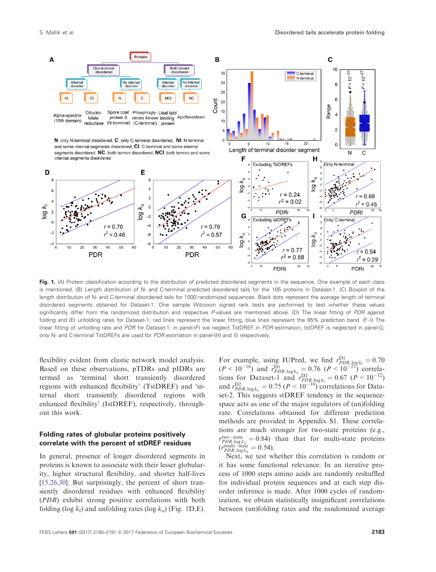<span id="page-3-0"></span>

Fig. 1. (A) Protein classification according to the distribution of predicted disordered segments in the sequence. One example of each class is mentioned. (B) Length distribution of N- and C-terminal predicted disordered tails for the 105 proteins in Dataset-1. (C) Boxplot of the length distribution of N- and C-terminal disordered tails for 1000 randomized sequences. Black dots represent the average length of terminal disordered segments obtained for Dataset-1. One sample Wilcoxon signed rank tests are performed to test whether these values significantly differ from the randomized distribution and respective P-values are mentioned above. (D) The linear fitting of PDR against folding and (E) unfolding rates for Dataset-1; red lines represent the linear fitting, blue lines represent the 95% prediction band. (F–I) The linear fitting of unfolding rate and PDR for Dataset-1: in panel-(F) we neglect TstDREF in PDR estimation; IstDREF is neglected in panel-G; only N- and C-terminal TstDREFs are used for PDR estimation in panel-(H) and (I) respectively.

flexibility evident from elastic network model analysis. Based on these observations, pTDRs and pIDRs are termed as 'terminal short transiently disordered regions with enhanced flexibility' (TstDREF) and 'internal short transiently disordered regions with enhanced flexibility' (IstDREF), respectively, throughout this work.

#### Folding rates of globular proteins positively correlate with the percent of stDREF residues

In general, presence of longer disordered segments in proteins is known to associate with their lesser globularity, higher structural flexibility, and shorter half-lives [\[15,26,30\]](#page-10-0). But surprisingly, the percent of short transiently disordered residues with enhanced flexibility (PDR) exhibit strong positive correlations with both folding (log  $k_f$ ) and unfolding rates (log  $k_u$ ) (Fig. 1D,E).

For example, using IUPred, we find  $r_{PDR, log k_f}^{D1} = 0.70$  $(P < 10^{-16})$  and  $r_{PDR, \log k_u}^{\text{D1}} = 0.76$   $(P < 10^{-21})$  correlations for Dataset-1 and  $r_{PDR,logk_f}^{D2} = 0.67$  ( $P < 10^{-12}$ ) and  $r_{PDR, \log k_{\rm u}}^{\rm D2} = 0.75$  ( $P < 10^{-16}$ ) correlations for Dataset-2. This suggests stDREF tendency in the sequencespace acts as one of the major regulators of (un)folding rate. Correlations obtained for different prediction methods are provided in Appendix S1. These correlations are much stronger for two-state proteins (e.g.,  $r_{PDR_i, \log k_{\rm u}}^{\rm two-state} = 0.84$ ) than that for multi-state proteins  $(r_{PDR, \log k_{u}}^{\text{multi-state}} = 0.54)$ .

Next, we test whether this correlation is random or it has some functional relevance. In an iterative process of 1000 steps amino acids are randomly reshuffled for individual protein sequences and at each step disorder inference is made. After 1000 cycles of randomization, we obtain statistically insignificant correlations between (un)folding rates and the randomized average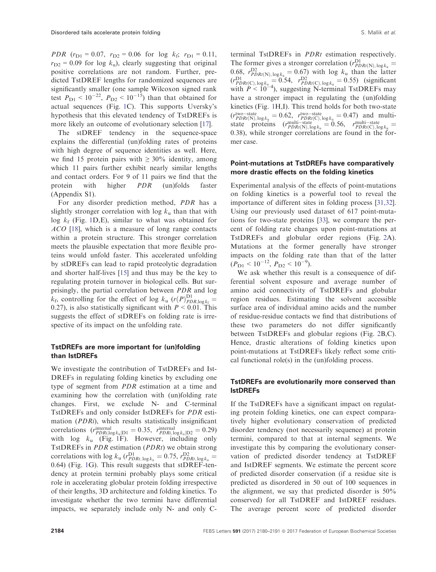PDR  $(r_{D1} = 0.07, r_{D2} = 0.06$  for log  $k_f$ ;  $r_{D1} = 0.11$ ,  $r_{D2}$  = 0.09 for log  $k_{\rm u}$ ), clearly suggesting that original positive correlations are not random. Further, predicted TstDREF lengths for randomized sequences are significantly smaller (one sample Wilcoxon signed rank test  $P_{D1}$  <  $10^{-22}$ ,  $P_{D2}$  <  $10^{-15}$ ) than that obtained for actual sequences (Fig. [1](#page-3-0)C). This supports Uversky's hypothesis that this elevated tendency of TstDREFs is more likely an outcome of evolutionary selection [\[17\]](#page-10-0).

The stDREF tendency in the sequence-space explains the differential (un)folding rates of proteins with high degree of sequence identities as well. Here, we find 15 protein pairs with  $\geq 30\%$  identity, among which 11 pairs further exhibit nearly similar lengths and contact orders. For 9 of 11 pairs we find that the protein with higher PDR (un)folds faster (Appendix S1).

For any disorder prediction method, PDR has a slightly stronger correlation with  $\log k_{\rm u}$  than that with log  $k_f$  (Fig. [1D](#page-3-0),E), similar to what was obtained for ACO [\[18\]](#page-10-0), which is a measure of long range contacts within a protein structure. This stronger correlation meets the plausible expectation that more flexible proteins would unfold faster. This accelerated unfolding by stDREFs can lead to rapid proteolytic degradation and shorter half-lives [[15](#page-10-0)] and thus may be the key to regulating protein turnover in biological cells. But surprisingly, the partial correlation between PDR and log  $k_f$ , controlling for the effect of log  $k_u$  ( $r(P)_{PDR,log k_f}^{D1}$ ) 0.27), is also statistically significant with  $P < 0.01$ . This suggests the effect of stDREFs on folding rate is irrespective of its impact on the unfolding rate.

### TstDREFs are more important for (un)folding than IstDREFs

We investigate the contribution of TstDREFs and Ist-DREFs in regulating folding kinetics by excluding one type of segment from PDR estimation at a time and examining how the correlation with (un)folding rate changes. First, we exclude N- and C-terminal TstDREFs and only consider IstDREFs for PDR estimation (PDRi), which results statistically insignificant correlations  $(r_{PDRi, log k_{\text{u}}|D1}^{\text{internal}} = 0.35, r_{PDRi, log k_{\text{u}}|D2}^{\text{internal}} = 0.29)$ with  $\log k_{\rm u}$  (Fig. [1](#page-3-0)F). However, including only TstDREFs in PDR estimation (PDRt) we obtain strong correlations with  $\log k_{\rm u}$  ( $r_{PDRt, \log k_{\rm u}}^{\rm D1} = 0.75$ ,  $r_{PDRt, \log k_{\rm u}}^{\rm D2} =$ 0:64) (Fig. [1G](#page-3-0)). This result suggests that stDREF-tendency at protein termini probably plays some critical role in accelerating globular protein folding irrespective of their lengths, 3D architecture and folding kinetics. To investigate whether the two termini have differential impacts, we separately include only N- and only C-

terminal TstDREFs in PDRt estimation respectively. The former gives a stronger correlation  $(r_{PDRt(N),log k_u}^{D1}) = 0.69 \times 10^{-14}$ 0.68,  $r_{PDRt(N),log_{\kappa_n}^{1/2}}^{D2} = 0.67$  with log  $k_u$  than the latter  $(r_{\text{PDR}t(C),\log k_{\rm u}}^{\text{D1}} = 0.54, r_{\text{PDR}t(C),\log k_{\rm u}}^{\text{D2}} = 0.55)$  (significant with  $P < 10^{-4}$ ), suggesting N-terminal TstDREFs may have a stronger impact in regulating the (un)folding kinetics (Fig. [1H](#page-3-0),I). This trend holds for both two-state  $(r_{PDRt(N),log k_{\mu}}^{\text{two-state}} = 0.62, r_{PDRt(N),log k_{\mu}}^{\text{two-state}} = 0.47)$  and multistate proteins  $(r_{PDRt(N), log k_u}^{\text{multi-state}} = 0.56, r_{PDRt(C), log k_u}^{\text{multi-state}})$ 0:38), while stronger correlations are found in the former case.

#### Point-mutations at TstDREFs have comparatively more drastic effects on the folding kinetics

Experimental analysis of the effects of point-mutations on folding kinetics is a powerful tool to reveal the importance of different sites in folding process [[31,32](#page-11-0)]. Using our previously used dataset of 617 point-mutations for two-state proteins [[33](#page-11-0)], we compare the percent of folding rate changes upon point-mutations at TstDREFs and globular order regions (Fig. [2](#page-5-0)A). Mutations at the former generally have stronger impacts on the folding rate than that of the latter  $(P_{\rm D1} < 10^{-12}, P_{\rm D2} < 10^{-9}).$ 

We ask whether this result is a consequence of differential solvent exposure and average number of amino acid connectivity of TstDREFs and globular region residues. Estimating the solvent accessible surface area of individual amino acids and the number of residue-residue contacts we find that distributions of these two parameters do not differ significantly between TstDREFs and globular regions (Fig. [2](#page-5-0)B,C). Hence, drastic alterations of folding kinetics upon point-mutations at TstDREFs likely reflect some critical functional role(s) in the (un)folding process.

## TstDREFs are evolutionarily more conserved than IstDREFs

If the TstDREFs have a significant impact on regulating protein folding kinetics, one can expect comparatively higher evolutionary conservation of predicted disorder tendency (not necessarily sequence) at protein termini, compared to that at internal segments. We investigate this by comparing the evolutionary conservation of predicted disorder tendency at TstDREF and IstDREF segments. We estimate the percent score of predicted disorder conservation (if a residue site is predicted as disordered in 50 out of 100 sequences in the alignment, we say that predicted disorder is 50% conserved) for all TstDREF and IstDREF residues. The average percent score of predicted disorder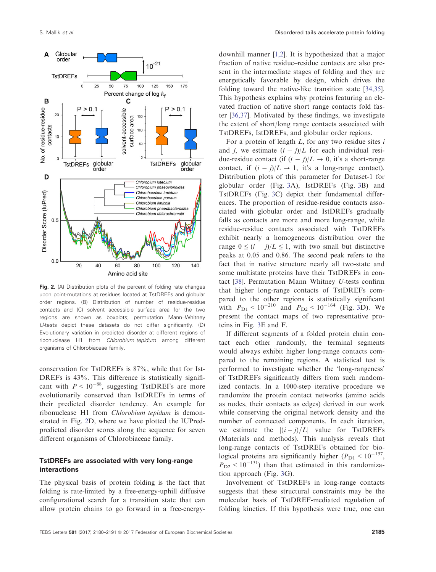<span id="page-5-0"></span>

Fig. 2. (A) Distribution plots of the percent of folding rate changes upon point-mutations at residues located at TstDREFs and globular order regions. (B) Distribution of number of residue-residue contacts and (C) solvent accessible surface area for the two regions are shown as boxplots; permutation Mann–Whitney U-tests depict these datasets do not differ significantly. (D) Evolutionary variation in predicted disorder at different regions of ribonuclease H1 from Chlorobium tepidum among different organisms of Chlorobiaceae family.

conservation for TstDREFs is 87%, while that for Ist-DREFs is  $43\%$ . This difference is statistically significant with  $P < 10^{-88}$ , suggesting TstDREFs are more evolutionarily conserved than IstDREFs in terms of their predicted disorder tendency. An example for ribonuclease H1 from Chlorobium tepidum is demonstrated in Fig. 2D, where we have plotted the IUPredpredicted disorder scores along the sequence for seven different organisms of Chlorobiaceae family.

#### TstDREFs are associated with very long-range interactions

The physical basis of protein folding is the fact that folding is rate-limited by a free-energy-uphill diffusive configurational search for a transition state that can allow protein chains to go forward in a free-energydownhill manner [\[1,2](#page-10-0)]. It is hypothesized that a major fraction of native residue–residue contacts are also present in the intermediate stages of folding and they are energetically favorable by design, which drives the folding toward the native-like transition state [[34,35](#page-11-0)]. This hypothesis explains why proteins featuring an elevated fraction of native short range contacts fold faster [\[36,37\]](#page-11-0). Motivated by these findings, we investigate the extent of short/long range contacts associated with TstDREFs, IstDREFs, and globular order regions.

For a protein of length  $L$ , for any two residue sites  $i$ and j, we estimate  $(i - j)/L$  for each individual residue-residue contact (if  $(i - j)/L \rightarrow 0$ , it's a short-range contact, if  $(i - j)/L \rightarrow 1$ , it's a long-range contact). Distribution plots of this parameter for Dataset-1 for globular order (Fig. [3A](#page-6-0)), IstDREFs (Fig. [3B](#page-6-0)) and TstDREFs (Fig. [3](#page-6-0)C) depict their fundamental differences. The proportion of residue-residue contacts associated with globular order and IstDREFs gradually falls as contacts are more and more long-range, while residue-residue contacts associated with TstDREFs exhibit nearly a homogeneous distribution over the range  $0 \leq (i - j)/L \leq 1$ , with two small but distinctive peaks at 0.05 and 0.86. The second peak refers to the fact that in native structure nearly all two-state and some multistate proteins have their TstDREFs in contact [[38](#page-11-0)]. Permutation Mann–Whitney U-tests confirm that higher long-range contacts of TstDREFs compared to the other regions is statistically significant with  $P_{D1}$  < 10<sup>-210</sup> and  $P_{D2}$  < 10<sup>-164</sup> (Fig. [3](#page-6-0)D). We present the contact maps of two representative proteins in Fig. [3](#page-6-0)E and F.

If different segments of a folded protein chain contact each other randomly, the terminal segments would always exhibit higher long-range contacts compared to the remaining regions. A statistical test is performed to investigate whether the 'long-rangeness' of TstDREFs significantly differs from such randomized contacts. In a 1000-step iterative procedure we randomize the protein contact networks (amino acids as nodes, their contacts as edges) derived in our work while conserving the original network density and the number of connected components. In each iteration, we estimate the  $|(i-j)/L|$  value for TstDREFs (Materials and methods). This analysis reveals that long-range contacts of TstDREFs obtained for biological proteins are significantly higher ( $P_{\rm D1}$  < 10<sup>-157</sup>,  $P_{D2}$  < 10<sup>-131</sup>) than that estimated in this randomization approach (Fig. [3](#page-6-0)G).

Involvement of TstDREFs in long-range contacts suggests that these structural constraints may be the molecular basis of TstDREF-mediated regulation of folding kinetics. If this hypothesis were true, one can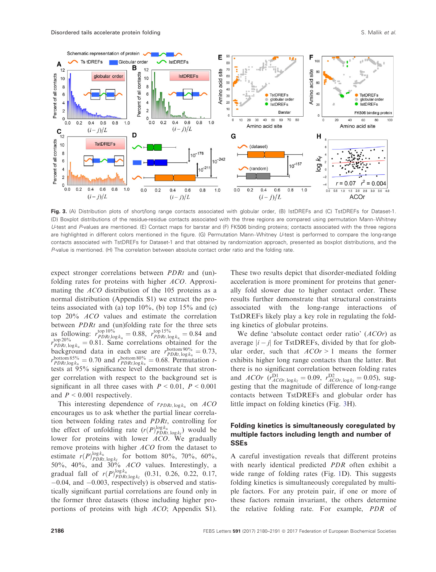<span id="page-6-0"></span>

Fig. 3. (A) Distribution plots of short/long range contacts associated with globular order, (B) IstDREFs and (C) TstDREFs for Dataset-1. (D) Boxplot distributions of the residue-residue contacts associated with the three regions are compared using permutation Mann–Whitney U-test and P-values are mentioned. (E) Contact maps for barstar and (F) FK506 binding proteins; contacts associated with the three regions are highlighted in different colors mentioned in the figure. (G) Permutation Mann–Whitney U-test is performed to compare the long-range contacts associated with TstDREFs for Dataset-1 and that obtained by randomization approach, presented as boxplot distributions, and the P-value is mentioned. (H) The correlation between absolute contact order ratio and the folding rate.

expect stronger correlations between PDRt and (un) folding rates for proteins with higher ACO. Approximating the ACO distribution of the 105 proteins as a normal distribution (Appendix S1) we extract the proteins associated with (a) top  $10\%$ , (b) top  $15\%$  and (c) top 20% ACO values and estimate the correlation between *PDRt* and (un)folding rate for the three sets as following:  $r_{PPRt,log k_{u}}^{top 10\%} = 0.88$ ,  $r_{PPRt,log k_{u}}^{top 15\%} = 0.84$  and  $r_{PDRt, log k_u}^{top 20\%} = 0.81$ . Same correlations obtained for the background data in each case are  $r_{PDRt, log k_u}^{bottom 90\%} = 0.73$ ,  $r_{PDRt,\log k_{\rm u}}^{\rm bottom\,80\%} = 0.70$  and  $r_{PDRt,\log k_{\rm u}}^{\rm bottom\,80\%} = 0.68$ . Permutation ttests at 95% significance level demonstrate that stronger correlation with respect to the background set is significant in all three cases with  $P \le 0.01$ ,  $P \le 0.001$ and  $P < 0.001$  respectively.

This interesting dependence of  $r_{PDRt, log k_u}$  on ACO encourages us to ask whether the partial linear correlation between folding rates and PDRt, controlling for the effect of unfolding rate  $(r(P)_{PDRt,log k_f}^{\log k_u})$  would be lower for proteins with lower ACO. We gradually remove proteins with higher ACO from the dataset to estimate  $r(P)_{PDRt, \log k_f}^{\log k_u}$  for bottom 80%, 70%, 60%, 50%, 40%, and 30% ACO values. Interestingly, a gradual fall of  $r(P)_{PDRt,log k_f}^{\log k_u}$  (0.31, 0.26, 0.22, 0.17,  $-0.04$ , and  $-0.003$ , respectively) is observed and statistically significant partial correlations are found only in the former three datasets (those including higher proportions of proteins with high ACO; Appendix S1). These two results depict that disorder-mediated folding acceleration is more prominent for proteins that generally fold slower due to higher contact order. These results further demonstrate that structural constraints associated with the long-range interactions of TstDREFs likely play a key role in regulating the folding kinetics of globular proteins.

We define 'absolute contact order ratio' (ACOr) as average  $|i - j|$  for TstDREFs, divided by that for globular order, such that  $ACOr > 1$  means the former exhibits higher long range contacts than the latter. But there is no significant correlation between folding rates and *ACOr*  $(r_{ACOr, log k_f}^{D1} = 0.09, r_{ACOr, log k_f}^{D2} = 0.05)$ , suggesting that the magnitude of difference of long-range contacts between TstDREFs and globular order has little impact on folding kinetics (Fig. 3H).

## Folding kinetics is simultaneously coregulated by multiple factors including length and number of SSEs

A careful investigation reveals that different proteins with nearly identical predicted PDR often exhibit a wide range of folding rates (Fig. [1D](#page-3-0)). This suggests folding kinetics is simultaneously coregulated by multiple factors. For any protein pair, if one or more of these factors remain invariant, the others determine the relative folding rate. For example, PDR of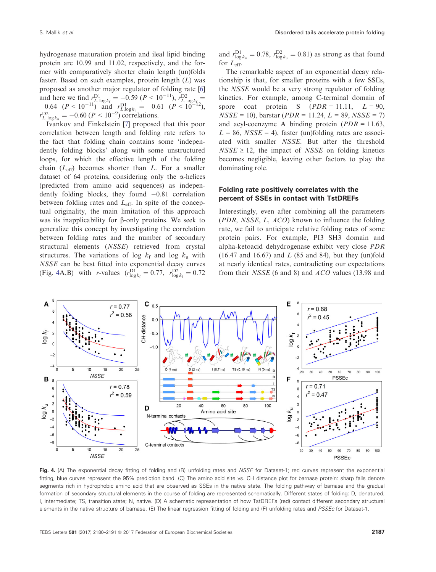<span id="page-7-0"></span>hydrogenase maturation protein and ileal lipid binding protein are 10.99 and 11.02, respectively, and the former with comparatively shorter chain length (un)folds faster. Based on such examples, protein length  $(L)$  was proposed as another major regulator of folding rate [\[6\]](#page-10-0) and here we find  $r_{L, \log k_{\text{f}}}^{\text{DI}} = -0.59 (P < 10^{-11}) r_{L, \log k_{\text{f}}}^{\text{D2}} = -0.64 (P < 10^{-11})$  and  $r_{L, \log k_{\text{u}}}^{\text{DI}} = -0.61 (P < 10^{-12})$ ,  $r_{L, \log k_{\text{u}}}^{\text{D2}} = -0.60 (P < 10^{-9})$  correlations.

Ivankov and Finkelstein [\[7](#page-10-0)] proposed that this poor correlation between length and folding rate refers to the fact that folding chain contains some 'independently folding blocks' along with some unstructured loops, for which the effective length of the folding chain  $(L_{\text{eff}})$  becomes shorter than L. For a smaller dataset of 64 proteins, considering only the  $\alpha$ -helices (predicted from amino acid sequences) as independently folding blocks, they found  $-0.81$  correlation between folding rates and  $L_{\text{eff}}$ . In spite of the conceptual originality, the main limitation of this approach was its inapplicability for  $\beta$ -only proteins. We seek to generalize this concept by investigating the correlation between folding rates and the number of secondary structural elements (NSSE) retrieved from crystal structures. The variations of log  $k_f$  and log  $k_u$  with NSSE can be best fitted into exponential decay curves (Fig. 4A,B) with *r*-values  $(r_{\log k_f}^{\text{D1}} = 0.77, r_{\log k_f}^{\text{D2}} = 0.72$ 

and  $r_{\log k_{\rm u}}^{\rm D1} = 0.78$ ,  $r_{\log k_{\rm u}}^{\rm D2} = 0.81$ ) as strong as that found for  $L_{\text{eff}}$ .

The remarkable aspect of an exponential decay relationship is that, for smaller proteins with a few SSEs, the NSSE would be a very strong regulator of folding kinetics. For example, among C-terminal domain of spore coat protein S  $(PDR = 11.11, L = 90,$  $NSSE = 10$ , barstar (*PDR* = 11.24,  $L = 89$ ,  $NSSE = 7$ ) and acyl-coenzyme A binding protein  $(PDR = 11.63$ ,  $L = 86$ ,  $NSSE = 4$ ), faster (un)folding rates are associated with smaller NSSE. But after the threshold  $NSSE \geq 12$ , the impact of *NSSE* on folding kinetics becomes negligible, leaving other factors to play the dominating role.

## Folding rate positively correlates with the percent of SSEs in contact with TstDREFs

Interestingly, even after combining all the parameters (PDR, NSSE, L, ACO) known to influence the folding rate, we fail to anticipate relative folding rates of some protein pairs. For example, PI3 SH3 domain and alpha-ketoacid dehydrogenase exhibit very close PDR  $(16.47$  and  $16.67)$  and L  $(85$  and 84), but they (un)fold at nearly identical rates, contradicting our expectations from their NSSE (6 and 8) and ACO values (13.98 and



Fig. 4. (A) The exponential decay fitting of folding and (B) unfolding rates and NSSE for Dataset-1; red curves represent the exponential fitting, blue curves represent the 95% prediction band. (C) The amino acid site vs. CH distance plot for barnase protein: sharp falls denote segments rich in hydrophobic amino acid that are observed as SSEs in the native state. The folding pathway of barnase and the gradual formation of secondary structural elements in the course of folding are represented schematically. Different states of folding: D, denatured; I, intermediate; TS, transition state; N, native. (D) A schematic representation of how TstDREFs (red) contact different secondary structural elements in the native structure of barnase. (E) The linear regression fitting of folding and (F) unfolding rates and PSSEc for Dataset-1.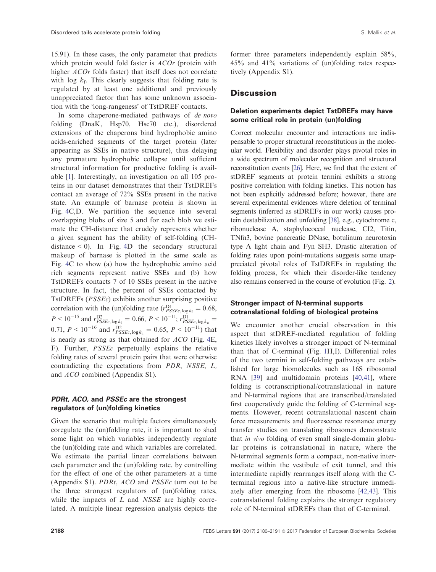15.91). In these cases, the only parameter that predicts which protein would fold faster is *ACOr* (protein with higher *ACOr* folds faster) that itself does not correlate with log  $k_f$ . This clearly suggests that folding rate is regulated by at least one additional and previously unappreciated factor that has some unknown association with the 'long-rangeness' of TstDREF contacts.

In some chaperone-mediated pathways of de novo folding (DnaK, Hsp70, Hsc70 etc.), disordered extensions of the chaperons bind hydrophobic amino acids-enriched segments of the target protein (later appearing as SSEs in native structure), thus delaying any premature hydrophobic collapse until sufficient structural information for productive folding is available [[1\]](#page-10-0). Interestingly, an investigation on all 105 proteins in our dataset demonstrates that their TstDREFs contact an average of 72% SSEs present in the native state. An example of barnase protein is shown in Fig. [4](#page-7-0)C,D. We partition the sequence into several overlapping blobs of size 5 and for each blob we estimate the CH-distance that crudely represents whether a given segment has the ability of self-folding (CHdistance  $\leq$  0). In Fig. [4D](#page-7-0) the secondary structural makeup of barnase is plotted in the same scale as Fig. [4](#page-7-0)C to show (a) how the hydrophobic amino acid rich segments represent native SSEs and (b) how TstDREFs contacts 7 of 10 SSEs present in the native structure. In fact, the percent of SSEs contacted by TstDREFs (PSSEc) exhibits another surprising positive correlation with the (un)folding rate  $(r_{PSSEc, log k_f}^{D1} = 0.68,$  $P < 10^{-15}$  and  $r_{PSSEc, \log k_f}^{\text{D2}} = 0.66, P < 10^{-11}; r_{PSSEc, \log k_u}^{\text{D1}} =$ 0.71,  $P < 10^{-16}$  and  $r_{PSSEc, \log k_u}^{\text{D2}} = 0.65, P < 10^{-11}$ ) that is nearly as strong as that obtained for ACO (Fig. [4](#page-7-0)E, F). Further, PSSEc perpetually explains the relative folding rates of several protein pairs that were otherwise contradicting the expectations from PDR, NSSE, L, and ACO combined (Appendix S1).

## PDRt, ACO, and PSSEc are the strongest regulators of (un)folding kinetics

Given the scenario that multiple factors simultaneously coregulate the (un)folding rate, it is important to shed some light on which variables independently regulate the (un)folding rate and which variables are correlated. We estimate the partial linear correlations between each parameter and the (un)folding rate, by controlling for the effect of one of the other parameters at a time (Appendix S1). PDRt, ACO and PSSEc turn out to be the three strongest regulators of (un)folding rates, while the impacts of  $L$  and  $NSSE$  are highly correlated. A multiple linear regression analysis depicts the

former three parameters independently explain 58%, 45% and 41% variations of (un)folding rates respectively (Appendix S1).

# **Discussion**

## Deletion experiments depict TstDREFs may have some critical role in protein (un)folding

Correct molecular encounter and interactions are indispensable to proper structural reconstitutions in the molecular world. Flexibility and disorder plays pivotal roles in a wide spectrum of molecular recognition and structural reconstitution events [[26\]](#page-11-0). Here, we find that the extent of stDREF segments at protein termini exhibits a strong positive correlation with folding kinetics. This notion has not been explicitly addressed before; however, there are several experimental evidences where deletion of terminal segments (inferred as stDREFs in our work) causes protein destabilization and unfolding [\[38](#page-11-0)], e.g., cytochrome c, ribonuclease A, staphylococcal nuclease, CI2, Titin, TNfn3, bovine pancreatic DNase, botulinum neurotoxin type A light chain and Fyn SH3. Drastic alteration of folding rates upon point-mutations suggests some unappreciated pivotal roles of TstDREFs in regulating the folding process, for which their disorder-like tendency also remains conserved in the course of evolution (Fig. [2](#page-5-0)).

#### Stronger impact of N-terminal supports cotranslational folding of biological proteins

We encounter another crucial observation in this aspect that stDREF-mediated regulation of folding kinetics likely involves a stronger impact of N-terminal than that of C-terminal (Fig. [1H](#page-3-0),I). Differential roles of the two termini in self-folding pathways are established for large biomolecules such as 16S ribosomal RNA [[39](#page-11-0)] and multidomain proteins [[40,41](#page-11-0)], where folding is cotranscriptional/cotranslational in nature and N-terminal regions that are transcribed/translated first cooperatively guide the folding of C-terminal segments. However, recent cotranslational nascent chain force measurements and fluorescence resonance energy transfer studies on translating ribosomes demonstrate that in vivo folding of even small single-domain globular proteins is cotranslational in nature, where the N-terminal segments form a compact, non-native intermediate within the vestibule of exit tunnel, and this intermediate rapidly rearranges itself along with the Cterminal regions into a native-like structure immediately after emerging from the ribosome [\[42,43\]](#page-11-0). This cotranslational folding explains the stronger regulatory role of N-terminal stDREFs than that of C-terminal.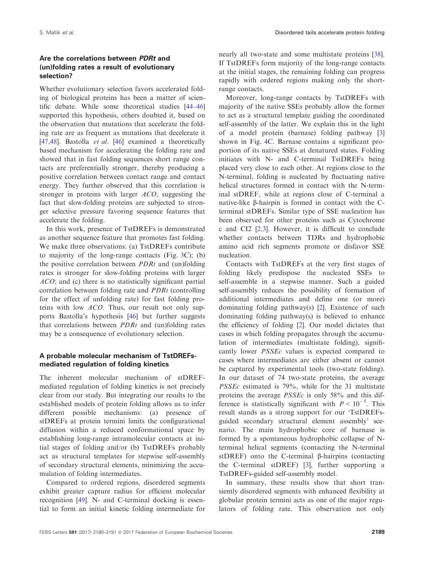## Are the correlations between PDRt and (un)folding rates a result of evolutionary selection?

Whether evolutionary selection favors accelerated folding of biological proteins has been a matter of scientific debate. While some theoretical studies [\[44](#page-11-0)–[46\]](#page-11-0) supported this hypothesis, others doubted it, based on the observation that mutations that accelerate the folding rate are as frequent as mutations that decelerate it [\[47,48\]](#page-11-0). Bastolla et al. [\[46\]](#page-11-0) examined a theoretically based mechanism for accelerating the folding rate and showed that in fast folding sequences short range contacts are preferentially stronger, thereby producing a positive correlation between contact range and contact energy. They further observed that this correlation is stronger in proteins with larger ACO, suggesting the fact that slow-folding proteins are subjected to stronger selective pressure favoring sequence features that accelerate the folding.

In this work, presence of TstDREFs is demonstrated as another sequence feature that promotes fast folding. We make three observations: (a) TstDREFs contribute to majority of the long-range contacts (Fig. [3](#page-6-0)C); (b) the positive correlation between  $PDRt$  and (un)folding rates is stronger for slow-folding proteins with larger ACO; and (c) there is no statistically significant partial correlation between folding rate and PDRt (controlling for the effect of unfolding rate) for fast folding proteins with low ACO. Thus, our result not only supports Bastolla's hypothesis [\[46\]](#page-11-0) but further suggests that correlations between  $PDRt$  and (un)folding rates may be a consequence of evolutionary selection.

## A probable molecular mechanism of TstDREFsmediated regulation of folding kinetics

The inherent molecular mechanism of stDREFmediated regulation of folding kinetics is not precisely clear from our study. But integrating our results to the established models of protein folding allows us to infer different possible mechanisms: (a) presence of stDREFs at protein termini limits the configurational diffusion within a reduced conformational space by establishing long-range intramolecular contacts at initial stages of folding and/or (b) TstDREFs probably act as structural templates for stepwise self-assembly of secondary structural elements, minimizing the accumulation of folding intermediates.

Compared to ordered regions, disordered segments exhibit greater capture radius for efficient molecular recognition [[49](#page-11-0)]. N- and C-terminal docking is essential to form an initial kinetic folding intermediate for nearly all two-state and some multistate proteins [[38](#page-11-0)]. If TstDREFs form majority of the long-range contacts at the initial stages, the remaining folding can progress rapidly with ordered regions making only the shortrange contacts.

Moreover, long-range contacts by TstDREFs with majority of the native SSEs probably allow the former to act as a structural template guiding the coordinated self-assembly of the latter. We explain this in the light of a model protein (barnase) folding pathway [\[3\]](#page-10-0) shown in Fig. [4C](#page-7-0). Barnase contains a significant proportion of its native SSEs at denatured states. Folding initiates with N- and C-terminal TstDREFs being placed very close to each other. At regions close to the N-terminal, folding is nucleated by fluctuating native helical structures formed in contact with the N-terminal stDREF, while at regions close of C-terminal a native-like  $\beta$ -hairpin is formed in contact with the Cterminal stDREFs. Similar type of SSE nucleation has been observed for other proteins such as Cytochrome c and CI2 [\[2,3](#page-10-0)]. However, it is difficult to conclude whether contacts between TDRs and hydrophobic amino acid rich segments promote or disfavor SSE nucleation.

Contacts with TstDREFs at the very first stages of folding likely predispose the nucleated SSEs to self-assemble in a stepwise manner. Such a guided self-assembly reduces the possibility of formation of additional intermediates and define one (or more) dominating folding pathway(s) [\[2\]](#page-10-0). Existence of such dominating folding pathway(s) is believed to enhance the efficiency of folding [\[2\]](#page-10-0). Our model dictates that cases in which folding propagates through the accumulation of intermediates (multistate folding), significantly lower PSSEc values is expected compared to cases where intermediates are either absent or cannot be captured by experimental tools (two-state folding). In our dataset of 74 two-state proteins, the average PSSEc estimated is 79%, while for the 31 multistate proteins the average PSSEc is only 58% and this difference is statistically significant with  $P < 10^{-5}$ . This result stands as a strong support for our 'TstDREFsguided secondary structural element assembly' scenario. The main hydrophobic core of barnase is formed by a spontaneous hydrophobic collapse of Nterminal helical segments (contacting the N-terminal stDREF) onto the C-terminal  $\beta$ -hairpins (contacting the C-terminal stDREF) [\[3\]](#page-10-0), further supporting a TstDREFs-guided self-assembly model.

In summary, these results show that short transiently disordered segments with enhanced flexibility at globular protein termini acts as one of the major regulators of folding rate. This observation not only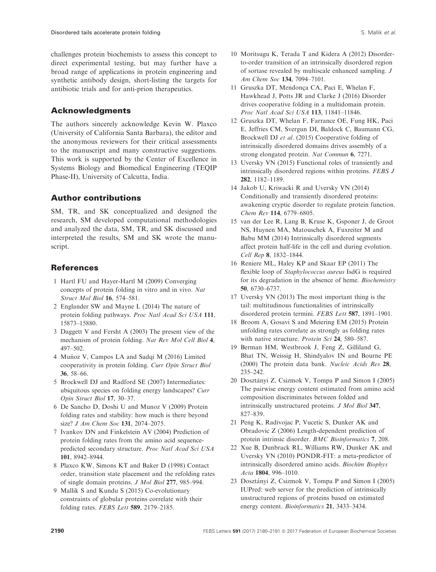<span id="page-10-0"></span>challenges protein biochemists to assess this concept to direct experimental testing, but may further have a broad range of applications in protein engineering and synthetic antibody design, short-listing the targets for antibiotic trials and for anti-prion therapeutics.

# Acknowledgments

The authors sincerely acknowledge Kevin W. Plaxco (University of California Santa Barbara), the editor and the anonymous reviewers for their critical assessments to the manuscript and many constructive suggestions. This work is supported by the Center of Excellence in Systems Biology and Biomedical Engineering (TEQIP Phase-II), University of Calcutta, India.

# Author contributions

SM, TR, and SK conceptualized and designed the research, SM developed computational methodologies and analyzed the data, SM, TR, and SK discussed and interpreted the results, SM and SK wrote the manuscript.

# **References**

- 1 Hartl FU and Hayer-Hartl M (2009) Converging concepts of protein folding in vitro and in vivo. Nat Struct Mol Biol 16, 574–581.
- 2 Englander SW and Mayne L (2014) The nature of protein folding pathways. Proc Natl Acad Sci USA 111, 15873–15880.
- 3 Daggett V and Fersht A (2003) The present view of the mechanism of protein folding. Nat Rev Mol Cell Biol 4, 497–502.
- 4 Muñoz V, Campos LA and Sadqi M (2016) Limited cooperativity in protein folding. Curr Opin Struct Biol 36, 58–66.
- 5 Brockwell DJ and Radford SE (2007) Intermediates: ubiquitous species on folding energy landscapes? Curr Opin Struct Biol 17, 30–37.
- 6 De Sancho D, Doshi U and Munoz V (2009) Protein folding rates and stability: how much is there beyond size? J Am Chem Soc 131, 2074–2075.
- 7 Ivankov DN and Finkelstein AV (2004) Prediction of protein folding rates from the amino acid sequencepredicted secondary structure. Proc Natl Acad Sci USA 101, 8942–8944.
- 8 Plaxco KW, Simons KT and Baker D (1998) Contact order, transition state placement and the refolding rates of single domain proteins. J Mol Biol 277, 985–994.
- 9 Mallik S and Kundu S (2015) Co-evolutionary constraints of globular proteins correlate with their folding rates. FEBS Lett 589, 2179–2185.
- 10 Moritsugu K, Terada T and Kidera A (2012) Disorderto-order transition of an intrinsically disordered region of sortase revealed by multiscale enhanced sampling. J Am Chem Soc 134, 7094–7101.
- 11 Gruszka DT, Mendonca CA, Paci E, Whelan F, Hawkhead J, Potts JR and Clarke J (2016) Disorder drives cooperative folding in a multidomain protein. Proc Natl Acad Sci USA 113, 11841–11846.
- 12 Gruszka DT, Whelan F, Farrance OE, Fung HK, Paci E, Jeffries CM, Svergun DI, Baldock C, Baumann CG, Brockwell DJ et al. (2015) Cooperative folding of intrinsically disordered domains drives assembly of a strong elongated protein. Nat Commun 6, 7271.
- 13 Uversky VN (2015) Functional roles of transiently and intrinsically disordered regions within proteins. FEBS J 282, 1182–1189.
- 14 Jakob U, Kriwacki R and Uversky VN (2014) Conditionally and transiently disordered proteins: awakening cryptic disorder to regulate protein function. Chem Rev 114, 6779–6805.
- 15 van der Lee R, Lang B, Kruse K, Gsponer J, de Groot NS, Huynen MA, Matouschek A, Fuxreiter M and Babu MM (2014) Intrinsically disordered segments affect protein half-life in the cell and during evolution. Cell Rep 8, 1832–1844.
- 16 Reniere ML, Haley KP and Skaar EP (2011) The flexible loop of Staphylococcus aureus IsdG is required for its degradation in the absence of heme. Biochemistry 50, 6730–6737.
- 17 Uversky VN (2013) The most important thing is the tail: multitudinous functionalities of intrinsically disordered protein termini. FEBS Lett 587, 1891–1901.
- 18 Broom A, Gosavi S and Meiering EM (2015) Protein unfolding rates correlate as strongly as folding rates with native structure. Protein Sci 24, 580-587.
- 19 Berman HM, Westbrook J, Feng Z, Gilliland G, Bhat TN, Weissig H, Shindyalov IN and Bourne PE (2000) The protein data bank. Nucleic Acids Res 28, 235–242.
- 20 Dosztanyi Z, Csizmok V, Tompa P and Simon I (2005) The pairwise energy content estimated from amino acid composition discriminates between folded and intrinsically unstructured proteins. J Mol Biol 347, 827–839.
- 21 Peng K, Radivojac P, Vucetic S, Dunker AK and Obradovic Z (2006) Length-dependent prediction of protein intrinsic disorder. BMC Bioinformatics 7, 208.
- 22 Xue B, Dunbrack RL, Williams RW, Dunker AK and Uversky VN (2010) PONDR-FIT: a meta-predictor of intrinsically disordered amino acids. Biochim Biophys Acta 1804, 996–1010.
- 23 Dosztanyi Z, Csizmok V, Tompa P and Simon I (2005) IUPred: web server for the prediction of intrinsically unstructured regions of proteins based on estimated energy content. Bioinformatics 21, 3433–3434.